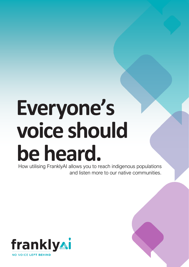# **Everyone's voice should be heard.**

How utilising FranklyAI allows you to reach indigenous populations and listen more to our native communities.

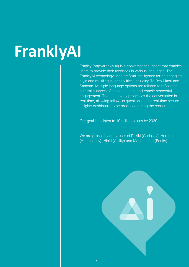## **FranklyAI**

Frankly [\(http://frankly.ai\)](http://frankly.ai/) is a conversational agent that enables users to provide their feedback in various languages. The FranklyAI technology uses artificial intelligence for an engaging style and multilingual capabilities, including Te Reo Māori and Samoan. Multiple language options are tailored to reflect the cultural nuances of each language and enable respectful engagement. The technology processes the conversation in real-time, allowing follow-up questions and a real-time secure insights dashboard to be produced during the consultation.     

Our goal is to listen to 10 million voices by 2030.

We are guided by our values of Pākiki (Curiosity), Houtupu (Authenticity), Hihiri (Agility) and Mana taurite (Equity).

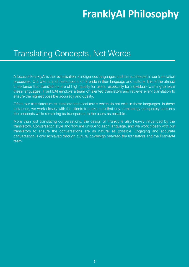## **FranklyAI Philosophy**

#### Translating Concepts, Not Words

A focus of FranklyAI is the revitalisation of indigenous languages and this is reflected in our translation processes. Our clients and users take a lot of pride in their language and culture. It is of the utmost importance that translations are of high quality for users, especially for individuals wanting to learn these languages. FranklyAI employs a team of talented translators and reviews every translation to ensure the highest possible accuracy and quality.

Often, our translators must translate technical terms which do not exist in these languages. In these instances, we work closely with the clients to make sure that any terminology adequately captures the concepts while remaining as transparent to the users as possible.

More than just translating conversations, the design of Frankly is also heavily influenced by the translators. Conversation style and flow are unique to each language, and we work closely with our translators to ensure the conversations are as natural as possible. Engaging and accurate conversation is only achieved through cultural co-design between the translators and the FranklyAI team.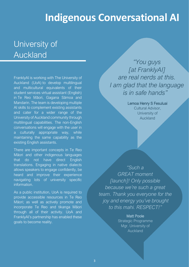## **Indigenous Conversational AI**

#### University of **Auckland**

FranklyAI is working with The University of Auckland (UoA) to develop multilingual and multicultural equivalents of their student services virtual assistant (English) in Te Reo Māori, Gagana Sāmoa and Mandarin. The team is developing multiple AI skills to complement existing assistants and cater for a wider range of the University of Auckland community through multilingual capabilities. The non-English conversations will engage with the user in a culturally appropriate way, while maintaining the same capability as the existing English assistants.

There are important concepts in Te Reo Māori and other indigenous languages that do not have direct English translations. Engaging in native dialects allows speakers to engage confidently, be heard and improve their experience navigating lots of university specific information.

As a public institution, UoA is required to provide accessible resources in Te Reo Māori; as well as actively promote and incorporate Te Reo and tikanga Māori through all of their activity. UoA and FranklyAI's partnership has enabled these goals to become reality.

*"You guys [at FranklyAI] are real nerds at this. I am glad that the language is in safe hands"* 

> Lemoa Henry S Fesuluai Cultural Advisor, University of Auckland

*"Such a GREAT moment [launch]! Only possible because we're such a great team. Thank you everyone for the joy and energy you've brought to this mahi. RESPECT!"*

> Matt Poole Strategic Programme Mgr. University of Auckland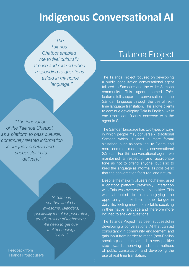## **Indigenous Conversational AI**

*"The Talanoa Chatbot enabled me to feel culturally at ease and relaxed when responding to questions asked in my home language."*

 *"The innovation of the Talanoa Chatbot as a platform to pass cultural, community related information is uniquely creative and successful in its delivery."*

> *"A Samoan chatbot would be awesome. Islanders, specifically the older generation, are distrusting of technology. We need to get over that 'technology is evil.'"*

Feedback from Talanoa Project users

#### Talanoa Project

The Talanoa Project focused on developing a public consultation conversational agent tailored to Sāmoans and the wider Sāmoan community. This agent, named *Tala*, features full support for conversations in the Sāmoan language through the use of realtime language translation. This allows clients to continue developing Tala in English, while end users can fluently converse with the agent in Sāmoan.

The Sāmoan language has two types of ways in which people may converse - traditional Sāmoan which is used in more formal situations, such as speaking to Elders, and more common modern day conversational Sāmoan. For this conversational agent, we maintained a respectful and appropriate tone as not to offend anyone, but also to keep the language as informal as possible so that the conversation feels real and natural.

Despite the majority of users not having used a chatbot platform previously, interaction with Tala was overwhelmingly positive. This was attributed to users enjoying the opportunity to use their mother tongue in daily life, feeling more comfortable speaking in their native language and therefore more inclined to answer questions.

The Talanoa Project has been successful in developing a conversational AI that can aid consultancy in community engagement and gain input from harder to reach (non-English speaking) communities. It is a very positive step towards improving traditional methods of public consultation and developing the use of real time translation.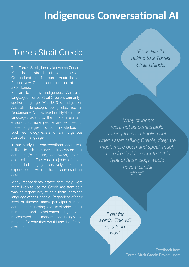### **Indigenous Conversational AI**

#### Torres Strait Creole

The Torres Strait, locally known as Zenadth Kes, is a stretch of water between Queensland in Northern Australia and Papua New Guinea and contains at least 270 islands.

Similar to many indigenous Australian languages, Torres Strait Creole is primarily a spoken language. With 90% of Indigenous Australian languages being classified as "endangered", tools like FranklyAI can help languages adapt to the modern era and ensure that more people are exposed to these languages. To our knowledge, no such technology exists for an Indigenous Australian language.

In our study the conversational agent was utilised to ask the user their views on their community's nature, waterways, littering and pollution. The vast majority of users responded highly positively to their experience with the conversational assistant.

Many respondents stated that they were more likely to use the Creole assistant as it was an opportunity to help them learn the language of their people. Regardless of their level of fluency, many participants made comments regarding a sense of pride in their heritage and excitement by being represented in modern technology as reasons for why they would use the Creole assistant.

*"Feels like I'm talking to a Torres Strait Islander"*

*"Many students were not as comfortable talking to me in English but when I start talking Creole, they are much more open and speak much more freely I'd expect that this type of technology would have a similar effect".*

*"Lost for words. This will go a long way"*

> Feedback from Torres Strait Creole Project users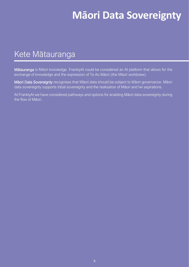## **Māori Data Sovereignty**

#### Kete Mātauranga

Mātauranga is Māori knowledge. FranklyAI could be considered an AI platform that allows for the exchange of knowledge and the expression of Te Ao Māori (the Māori worldview).

Māori Data Sovereignty recognises that Māori data should be subject to Māori governance. Māori data sovereignty supports tribal sovereignty and the realisation of Māori and Iwi aspirations.

At FranklyAI we have considered pathways and options for enabling Māori data sovereignty during the flow of Māori.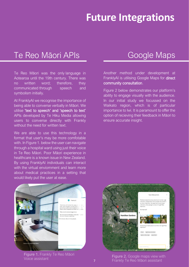## **Future Integrations**

#### Te Reo Māori APIs

Te Reo Māori was the only language in Aotearoa until the 19th century. There was no written word; therefore, they communicated through speech and symbolism initially.

At FranklyAI we recognise the importance of being able to converse verbally in Māori. We utilise 'text to speech' and 'speech to text' APIs developed by Te Hiku Media allowing users to converse directly with Frankly without the need for written text.

We are able to use this technology in a format that user's may be more comfotable with. In Figure 1. below the user can navigate through a hospital ward using just their voice in Te Reo Māori. Poor Māori experience in healthcare is a known issue in New Zealand. By using FranklyAI individuals can interact with the virtual enviornment and learn more about medical practices in a setting that would likely put the user at ease.

#### Google Maps

Another method under development at FranklyAI is utilising Google Maps for direct community consultation.

Figure 2 below demonstrates our platform's ability to engage visually with the audience. In our initial study we focussed on the Waikato region, which is of particular importance to Iwi. It is paramount to offer the option of recieving their feedback in Māori to ensure accurate insight.



Figure 1. Frankly Te Reo Māori



**Figure 1.** Frankly Te Neo Maon<br>Voice assistant Figure 2. Google maps view with<br>Frankly Te Reo Māori assistant 7 Frankly Te Reo Māori assistant